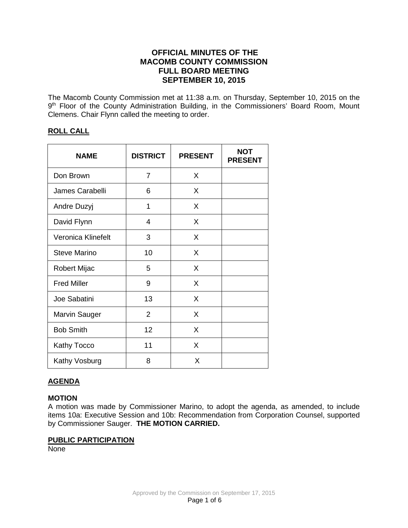# **OFFICIAL MINUTES OF THE MACOMB COUNTY COMMISSION FULL BOARD MEETING SEPTEMBER 10, 2015**

The Macomb County Commission met at 11:38 a.m. on Thursday, September 10, 2015 on the 9<sup>th</sup> Floor of the County Administration Building, in the Commissioners' Board Room, Mount Clemens. Chair Flynn called the meeting to order.

## **ROLL CALL**

| <b>NAME</b>          | <b>DISTRICT</b> | <b>PRESENT</b> | <b>NOT</b><br><b>PRESENT</b> |
|----------------------|-----------------|----------------|------------------------------|
| Don Brown            | 7               | X              |                              |
| James Carabelli      | 6               | X              |                              |
| Andre Duzyj          | 1               | X              |                              |
| David Flynn          | 4               | X              |                              |
| Veronica Klinefelt   | 3               | X              |                              |
| <b>Steve Marino</b>  | 10              | X              |                              |
| <b>Robert Mijac</b>  | 5               | X              |                              |
| <b>Fred Miller</b>   | 9               | X              |                              |
| Joe Sabatini         | 13              | X              |                              |
| <b>Marvin Sauger</b> | $\overline{2}$  | X              |                              |
| <b>Bob Smith</b>     | 12              | X              |                              |
| <b>Kathy Tocco</b>   | 11              | X              |                              |
| Kathy Vosburg        | 8               | X              |                              |

## **AGENDA**

### **MOTION**

A motion was made by Commissioner Marino, to adopt the agenda, as amended, to include items 10a: Executive Session and 10b: Recommendation from Corporation Counsel, supported by Commissioner Sauger. **THE MOTION CARRIED.** 

### **PUBLIC PARTICIPATION**

None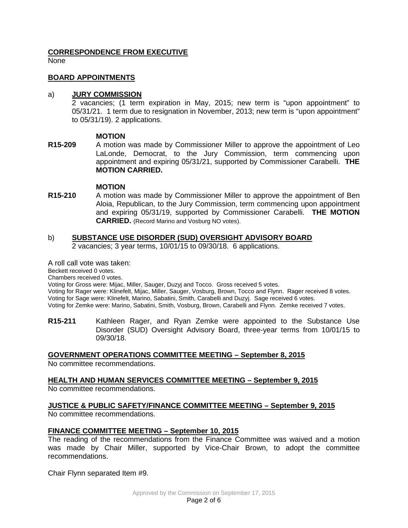## **CORRESPONDENCE FROM EXECUTIVE**

None

#### **BOARD APPOINTMENTS**

#### a) **JURY COMMISSION**

2 vacancies; (1 term expiration in May, 2015; new term is "upon appointment" to 05/31/21. 1 term due to resignation in November, 2013; new term is "upon appointment" to 05/31/19). 2 applications.

### **MOTION**

**R15-209** A motion was made by Commissioner Miller to approve the appointment of Leo LaLonde, Democrat, to the Jury Commission, term commencing upon appointment and expiring 05/31/21, supported by Commissioner Carabelli. **THE MOTION CARRIED.**

#### **MOTION**

**R15-210** A motion was made by Commissioner Miller to approve the appointment of Ben Aloia, Republican, to the Jury Commission, term commencing upon appointment and expiring 05/31/19, supported by Commissioner Carabelli. **THE MOTION CARRIED.** (Record Marino and Vosburg NO votes).

# b) **SUBSTANCE USE DISORDER (SUD) OVERSIGHT ADVISORY BOARD**

2 vacancies; 3 year terms, 10/01/15 to 09/30/18. 6 applications.

A roll call vote was taken:

Beckett received 0 votes.

Chambers received 0 votes.

Voting for Gross were: Mijac, Miller, Sauger, Duzyj and Tocco. Gross received 5 votes.

Voting for Rager were: Klinefelt, Mijac, Miller, Sauger, Vosburg, Brown, Tocco and Flynn. Rager received 8 votes. Voting for Sage were: Klinefelt, Marino, Sabatini, Smith, Carabelli and Duzyj. Sage received 6 votes.

Voting for Zemke were: Marino, Sabatini, Smith, Vosburg, Brown, Carabelli and Flynn. Zemke received 7 votes.

**R15-211** Kathleen Rager, and Ryan Zemke were appointed to the Substance Use Disorder (SUD) Oversight Advisory Board, three-year terms from 10/01/15 to 09/30/18.

### **GOVERNMENT OPERATIONS COMMITTEE MEETING – September 8, 2015**

No committee recommendations.

### **HEALTH AND HUMAN SERVICES COMMITTEE MEETING – September 9, 2015**

No committee recommendations.

## **JUSTICE & PUBLIC SAFETY/FINANCE COMMITTEE MEETING – September 9, 2015**

No committee recommendations.

### **FINANCE COMMITTEE MEETING – September 10, 2015**

The reading of the recommendations from the Finance Committee was waived and a motion was made by Chair Miller, supported by Vice-Chair Brown, to adopt the committee recommendations.

Chair Flynn separated Item #9.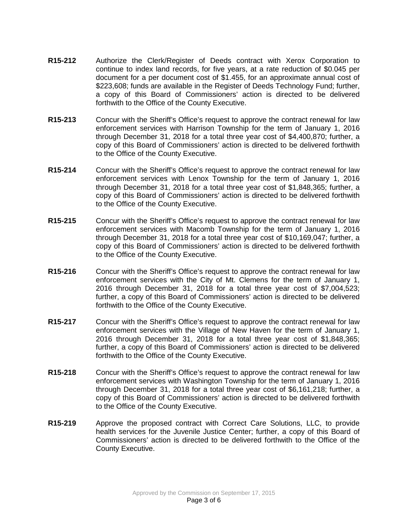- **R15-212** Authorize the Clerk/Register of Deeds contract with Xerox Corporation to continue to index land records, for five years, at a rate reduction of \$0.045 per document for a per document cost of \$1.455, for an approximate annual cost of \$223,608; funds are available in the Register of Deeds Technology Fund; further, a copy of this Board of Commissioners' action is directed to be delivered forthwith to the Office of the County Executive.
- **R15-213** Concur with the Sheriff's Office's request to approve the contract renewal for law enforcement services with Harrison Township for the term of January 1, 2016 through December 31, 2018 for a total three year cost of \$4,400,870; further, a copy of this Board of Commissioners' action is directed to be delivered forthwith to the Office of the County Executive.
- **R15-214** Concur with the Sheriff's Office's request to approve the contract renewal for law enforcement services with Lenox Township for the term of January 1, 2016 through December 31, 2018 for a total three year cost of \$1,848,365; further, a copy of this Board of Commissioners' action is directed to be delivered forthwith to the Office of the County Executive.
- **R15-215** Concur with the Sheriff's Office's request to approve the contract renewal for law enforcement services with Macomb Township for the term of January 1, 2016 through December 31, 2018 for a total three year cost of \$10,169,047; further, a copy of this Board of Commissioners' action is directed to be delivered forthwith to the Office of the County Executive.
- **R15-216** Concur with the Sheriff's Office's request to approve the contract renewal for law enforcement services with the City of Mt. Clemens for the term of January 1, 2016 through December 31, 2018 for a total three year cost of \$7,004,523; further, a copy of this Board of Commissioners' action is directed to be delivered forthwith to the Office of the County Executive.
- **R15-217** Concur with the Sheriff's Office's request to approve the contract renewal for law enforcement services with the Village of New Haven for the term of January 1, 2016 through December 31, 2018 for a total three year cost of \$1,848,365; further, a copy of this Board of Commissioners' action is directed to be delivered forthwith to the Office of the County Executive.
- **R15-218** Concur with the Sheriff's Office's request to approve the contract renewal for law enforcement services with Washington Township for the term of January 1, 2016 through December 31, 2018 for a total three year cost of \$6,161,218; further, a copy of this Board of Commissioners' action is directed to be delivered forthwith to the Office of the County Executive.
- **R15-219** Approve the proposed contract with Correct Care Solutions, LLC, to provide health services for the Juvenile Justice Center; further, a copy of this Board of Commissioners' action is directed to be delivered forthwith to the Office of the County Executive.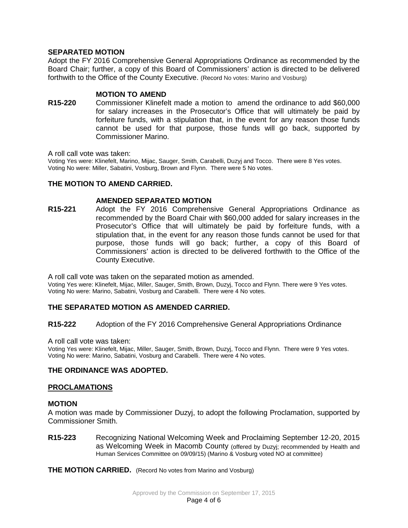## **SEPARATED MOTION**

Adopt the FY 2016 Comprehensive General Appropriations Ordinance as recommended by the Board Chair; further, a copy of this Board of Commissioners' action is directed to be delivered forthwith to the Office of the County Executive. (Record No votes: Marino and Vosburg)

### **MOTION TO AMEND**

**R15-220** Commissioner Klinefelt made a motion to amend the ordinance to add \$60,000 for salary increases in the Prosecutor's Office that will ultimately be paid by forfeiture funds, with a stipulation that, in the event for any reason those funds cannot be used for that purpose, those funds will go back, supported by Commissioner Marino.

A roll call vote was taken:

Voting Yes were: Klinefelt, Marino, Mijac, Sauger, Smith, Carabelli, Duzyj and Tocco. There were 8 Yes votes. Voting No were: Miller, Sabatini, Vosburg, Brown and Flynn. There were 5 No votes.

## **THE MOTION TO AMEND CARRIED.**

### **AMENDED SEPARATED MOTION**

**R15-221** Adopt the FY 2016 Comprehensive General Appropriations Ordinance as recommended by the Board Chair with \$60,000 added for salary increases in the Prosecutor's Office that will ultimately be paid by forfeiture funds, with a stipulation that, in the event for any reason those funds cannot be used for that purpose, those funds will go back; further, a copy of this Board of Commissioners' action is directed to be delivered forthwith to the Office of the County Executive.

A roll call vote was taken on the separated motion as amended. Voting Yes were: Klinefelt, Mijac, Miller, Sauger, Smith, Brown, Duzyj, Tocco and Flynn. There were 9 Yes votes. Voting No were: Marino, Sabatini, Vosburg and Carabelli. There were 4 No votes.

## **THE SEPARATED MOTION AS AMENDED CARRIED.**

### **R15-222** Adoption of the FY 2016 Comprehensive General Appropriations Ordinance

A roll call vote was taken:

Voting Yes were: Klinefelt, Mijac, Miller, Sauger, Smith, Brown, Duzyj, Tocco and Flynn. There were 9 Yes votes. Voting No were: Marino, Sabatini, Vosburg and Carabelli. There were 4 No votes.

## **THE ORDINANCE WAS ADOPTED.**

### **PROCLAMATIONS**

### **MOTION**

A motion was made by Commissioner Duzyj, to adopt the following Proclamation, supported by Commissioner Smith.

**R15-223** Recognizing National Welcoming Week and Proclaiming September 12-20, 2015 as Welcoming Week in Macomb County (offered by Duzyj; recommended by Health and Human Services Committee on 09/09/15) (Marino & Vosburg voted NO at committee)

**THE MOTION CARRIED.** (Record No votes from Marino and Vosburg)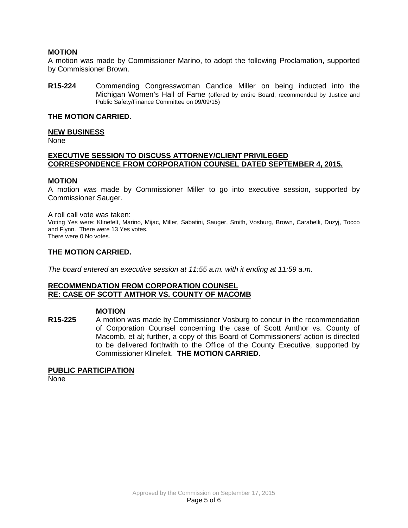### **MOTION**

A motion was made by Commissioner Marino, to adopt the following Proclamation, supported by Commissioner Brown.

**R15-224** Commending Congresswoman Candice Miller on being inducted into the Michigan Women's Hall of Fame (offered by entire Board; recommended by Justice and Public Safety/Finance Committee on 09/09/15)

#### **THE MOTION CARRIED.**

#### **NEW BUSINESS**

None

### **EXECUTIVE SESSION TO DISCUSS ATTORNEY/CLIENT PRIVILEGED CORRESPONDENCE FROM CORPORATION COUNSEL DATED SEPTEMBER 4, 2015.**

#### **MOTION**

A motion was made by Commissioner Miller to go into executive session, supported by Commissioner Sauger.

#### A roll call vote was taken:

Voting Yes were: Klinefelt, Marino, Mijac, Miller, Sabatini, Sauger, Smith, Vosburg, Brown, Carabelli, Duzyj, Tocco and Flynn. There were 13 Yes votes.

There were 0 No votes.

#### **THE MOTION CARRIED.**

*The board entered an executive session at 11:55 a.m. with it ending at 11:59 a.m.*

#### **RECOMMENDATION FROM CORPORATION COUNSEL RE: CASE OF SCOTT AMTHOR VS. COUNTY OF MACOMB**

#### **MOTION**

**R15-225** A motion was made by Commissioner Vosburg to concur in the recommendation of Corporation Counsel concerning the case of Scott Amthor vs. County of Macomb, et al; further, a copy of this Board of Commissioners' action is directed to be delivered forthwith to the Office of the County Executive, supported by Commissioner Klinefelt. **THE MOTION CARRIED.**

#### **PUBLIC PARTICIPATION**

None